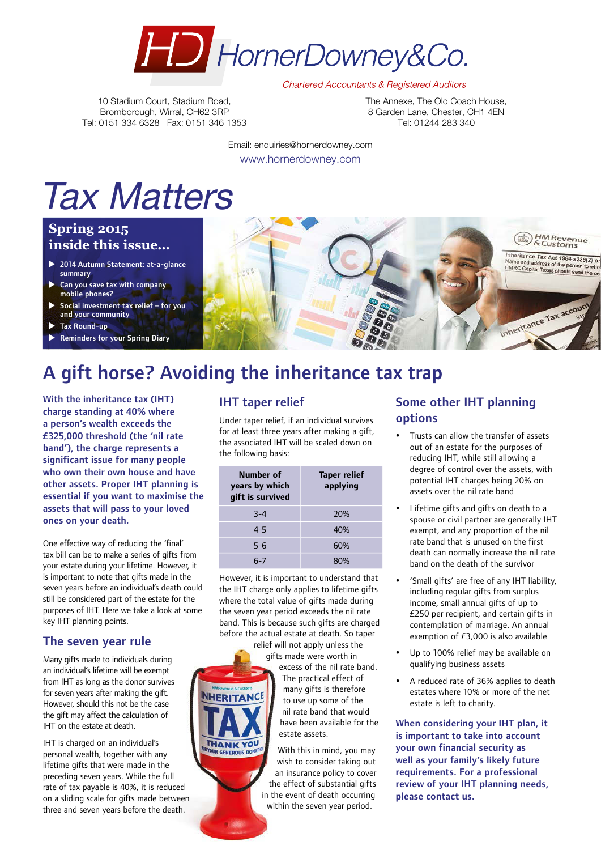

**Chartered Accountants & Registered Auditors** 

10 Stadium Court, Stadium Road, Bromborough, Wirral, CH62 3RP Tel: 0151 334 6328 Fax: 0151 346 1353 The Annexe, The Old Coach House, 8 Garden Lane, Chester, CH1 4FN Tel: 01244 283 340

Email: enquiries@hornerdowney.com www.hornerdowney.com

# Tax Matters

# **Spring 2015 inside this issue...**

- ▶ 2014 Autumn Statement: at-a-glance summary
- $\blacktriangleright$  Can you save tax with company mobile phones?
- Social investment tax relief for you and your community
- **Tax Round-up**
- **Reminders for your Spring Diary**

# A gift horse? Avoiding the inheritance tax trap

**INHERITANCE** 

THANK YOU **R GENEROUS DON** 

With the inheritance tax (IHT) charge standing at 40% where a person's wealth exceeds the £325,000 threshold (the 'nil rate band'), the charge represents a significant issue for many people who own their own house and have other assets. Proper IHT planning is essential if you want to maximise the assets that will pass to your loved ones on your death.

One effective way of reducing the 'final' tax bill can be to make a series of gifts from your estate during your lifetime. However, it is important to note that gifts made in the seven years before an individual's death could still be considered part of the estate for the purposes of IHT. Here we take a look at some key IHT planning points.

## The seven year rule

Many gifts made to individuals during an individual's lifetime will be exempt from IHT as long as the donor survives for seven years after making the gift. However, should this not be the case the gift may affect the calculation of IHT on the estate at death.

IHT is charged on an individual's personal wealth, together with any lifetime gifts that were made in the preceding seven years. While the full rate of tax payable is 40%, it is reduced on a sliding scale for gifts made between three and seven years before the death.

## IHT taper relief

Under taper relief, if an individual survives for at least three years after making a gift, the associated IHT will be scaled down on the following basis:

| Number of<br>years by which<br>gift is survived | <b>Taper relief</b><br>applying |
|-------------------------------------------------|---------------------------------|
| $3 - 4$                                         | 20%                             |
| $4 - 5$                                         | 40%                             |
| $5 - 6$                                         | 60%                             |
| 6-7                                             | 80%                             |

However, it is important to understand that the IHT charge only applies to lifetime gifts where the total value of gifts made during the seven year period exceeds the nil rate band. This is because such gifts are charged before the actual estate at death. So taper

relief will not apply unless the gifts made were worth in excess of the nil rate band. The practical effect of many gifts is therefore to use up some of the nil rate band that would have been available for the estate assets.

With this in mind, you may wish to consider taking out an insurance policy to cover the effect of substantial gifts in the event of death occurring within the seven year period.

# Some other IHT planning options

**b** HM Revenue nheritance Tax Act 1984 s239(2) or d address of the person to who<br>apital Taxes should send the co

Inheritance Tax account

IMPO O

- Trusts can allow the transfer of assets out of an estate for the purposes of reducing IHT, while still allowing a degree of control over the assets, with potential IHT charges being 20% on assets over the nil rate band
- Lifetime gifts and gifts on death to a spouse or civil partner are generally IHT exempt, and any proportion of the nil rate band that is unused on the first death can normally increase the nil rate band on the death of the survivor
- y 'Small gifts' are free of any IHT liability, including regular gifts from surplus income, small annual gifts of up to £250 per recipient, and certain gifts in contemplation of marriage. An annual exemption of £3,000 is also available
- Up to 100% relief may be available on qualifying business assets
- y A reduced rate of 36% applies to death estates where 10% or more of the net estate is left to charity.

When considering your IHT plan, it is important to take into account your own financial security as well as your family's likely future requirements. For a professional review of your IHT planning needs, please contact us.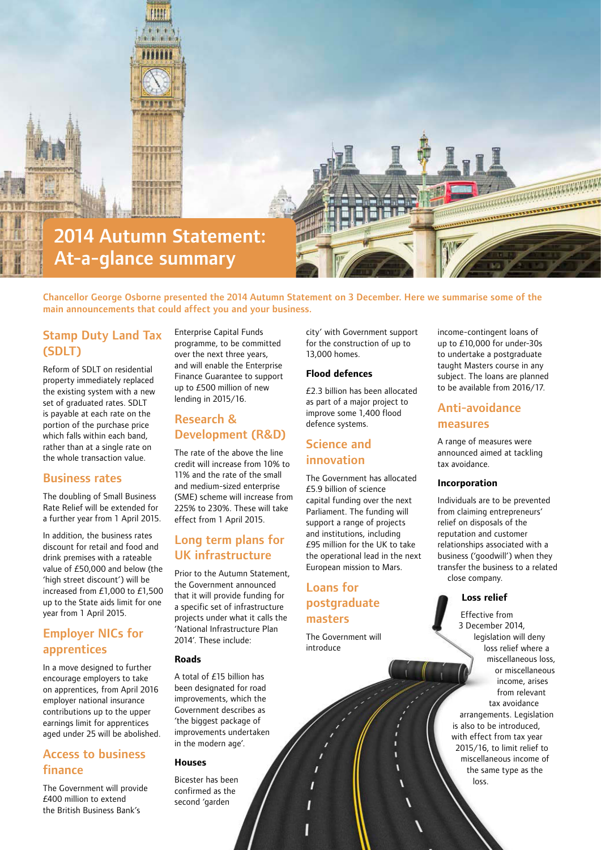

Chancellor George Osborne presented the 2014 Autumn Statement on 3 December. Here we summarise some of the main announcements that could affect you and your business.

# Stamp Duty Land Tax (SDLT)

Reform of SDLT on residential property immediately replaced the existing system with a new set of graduated rates. SDLT is payable at each rate on the portion of the purchase price which falls within each band, rather than at a single rate on the whole transaction value.

#### Business rates

The doubling of Small Business Rate Relief will be extended for a further year from 1 April 2015.

In addition, the business rates discount for retail and food and drink premises with a rateable value of £50,000 and below (the 'high street discount') will be increased from £1,000 to £1,500 up to the State aids limit for one year from 1 April 2015.

# Employer NICs for apprentices

In a move designed to further encourage employers to take on apprentices, from April 2016 employer national insurance contributions up to the upper earnings limit for apprentices aged under 25 will be abolished.

## Access to business finance

The Government will provide £400 million to extend the British Business Bank's

Enterprise Capital Funds programme, to be committed over the next three years, and will enable the Enterprise Finance Guarantee to support up to £500 million of new lending in 2015/16.

## Research & Development (R&D)

The rate of the above the line credit will increase from 10% to 11% and the rate of the small and medium-sized enterprise (SME) scheme will increase from 225% to 230%. These will take effect from 1 April 2015.

# Long term plans for UK infrastructure

Prior to the Autumn Statement, the Government announced that it will provide funding for a specific set of infrastructure projects under what it calls the 'National Infrastructure Plan 2014'. These include:

#### **Roads**

A total of £15 billion has been designated for road improvements, which the Government describes as 'the biggest package of improvements undertaken in the modern age'.

#### **Houses**

Bicester has been confirmed as the second 'garden

city' with Government support for the construction of up to 13,000 homes.

#### **Flood defences**

£2.3 billion has been allocated as part of a major project to improve some 1,400 flood defence systems.

## Science and innovation

The Government has allocated £5.9 billion of science capital funding over the next Parliament. The funding will support a range of projects and institutions, including £95 million for the UK to take the operational lead in the next European mission to Mars.

## Loans for postgraduate masters

The Government will introduce

income-contingent loans of up to £10,000 for under-30s to undertake a postgraduate taught Masters course in any subject. The loans are planned to be available from 2016/17.

#### Anti‑avoidance measures

A range of measures were announced aimed at tackling tax avoidance.

#### **Incorporation**

Individuals are to be prevented from claiming entrepreneurs' relief on disposals of the reputation and customer relationships associated with a business ('goodwill') when they transfer the business to a related close company.

#### **Loss relief**

Effective from 3 December 2014, legislation will deny loss relief where a miscellaneous loss, or miscellaneous income, arises from relevant tax avoidance arrangements. Legislation is also to be introduced, with effect from tax year 2015/16, to limit relief to miscellaneous income of the same type as the loss.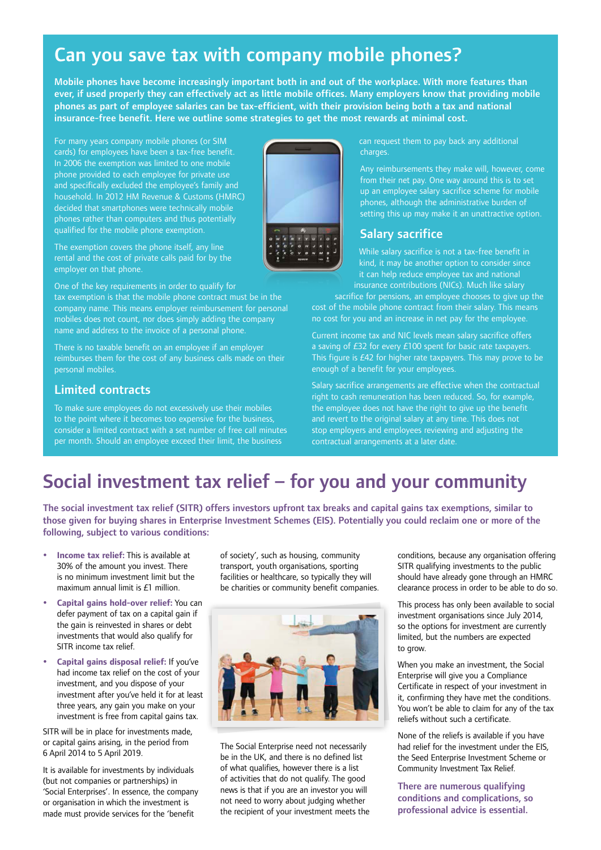# Can you save tax with company mobile phones?

Mobile phones have become increasingly important both in and out of the workplace. With more features than ever, if used properly they can effectively act as little mobile offices. Many employers know that providing mobile phones as part of employee salaries can be tax-efficient, with their provision being both a tax and national insurance-free benefit. Here we outline some strategies to get the most rewards at minimal cost.

For many years company mobile phones (or SIM cards) for employees have been a tax-free benefit. In 2006 the exemption was limited to one mobile phone provided to each employee for private use and specifically excluded the employee's family and household. In 2012 HM Revenue & Customs (HMRC) decided that smartphones were technically mobile phones rather than computers and thus potentially qualified for the mobile phone exemption.

The exemption covers the phone itself, any line rental and the cost of private calls paid for by the employer on that phone.

One of the key requirements in order to qualify for tax exemption is that the mobile phone contract must be in the company name. This means employer reimbursement for personal mobiles does not count, nor does simply adding the company name and address to the invoice of a personal phone.

There is no taxable benefit on an employee if an employer reimburses them for the cost of any business calls made on their personal mobiles.

### Limited contracts

To make sure employees do not excessively use their mobiles to the point where it becomes too expensive for the business, consider a limited contract with a set number of free call minutes per month. Should an employee exceed their limit, the business



can request them to pay back any additional charges.

from their net pay. One way around this is to set up an employee salary sacrifice scheme for mobile phones, although the administrative burden of setting this up may make it an unattractive option.

#### Salary sacrifice

While salary sacrifice is not a tax-free benefit in kind, it may be another option to consider since it can help reduce employee tax and national insurance contributions (NICs). Much like salary

sacrifice for pensions, an employee chooses to give up the cost of the mobile phone contract from their salary. This means no cost for you and an increase in net pay for the employee.

Current income tax and NIC levels mean salary sacrifice offers a saving of £32 for every £100 spent for basic rate taxpayers. This figure is £42 for higher rate taxpayers. This may prove to be enough of a benefit for your employees.

Salary sacrifice arrangements are effective when the contractual right to cash remuneration has been reduced. So, for example, the employee does not have the right to give up the benefit and revert to the original salary at any time. This does not stop employers and employees reviewing and adjusting the contractual arrangements at a later date.

# Social investment tax relief – for you and your community

The social investment tax relief (SITR) offers investors upfront tax breaks and capital gains tax exemptions, similar to those given for buying shares in Enterprise Investment Schemes (EIS). Potentially you could reclaim one or more of the following, subject to various conditions:

- y **Income tax relief:** This is available at 30% of the amount you invest. There is no minimum investment limit but the maximum annual limit is £1 million.
- y **Capital gains hold-over relief:** You can defer payment of tax on a capital gain if the gain is reinvested in shares or debt investments that would also qualify for SITR income tax relief.
- y **Capital gains disposal relief:** If you've had income tax relief on the cost of your investment, and you dispose of your investment after you've held it for at least three years, any gain you make on your investment is free from capital gains tax.

SITR will be in place for investments made, or capital gains arising, in the period from 6 April 2014 to 5 April 2019.

It is available for investments by individuals (but not companies or partnerships) in 'Social Enterprises'. In essence, the company or organisation in which the investment is made must provide services for the 'benefit

of society', such as housing, community transport, youth organisations, sporting facilities or healthcare, so typically they will be charities or community benefit companies.



The Social Enterprise need not necessarily be in the UK, and there is no defined list of what qualifies, however there is a list of activities that do not qualify. The good news is that if you are an investor you will not need to worry about judging whether the recipient of your investment meets the

conditions, because any organisation offering SITR qualifying investments to the public should have already gone through an HMRC clearance process in order to be able to do so.

This process has only been available to social investment organisations since July 2014, so the options for investment are currently limited, but the numbers are expected to grow.

When you make an investment, the Social Enterprise will give you a Compliance Certificate in respect of your investment in it, confirming they have met the conditions. You won't be able to claim for any of the tax reliefs without such a certificate.

None of the reliefs is available if you have had relief for the investment under the EIS, the Seed Enterprise Investment Scheme or Community Investment Tax Relief.

There are numerous qualifying conditions and complications, so professional advice is essential.